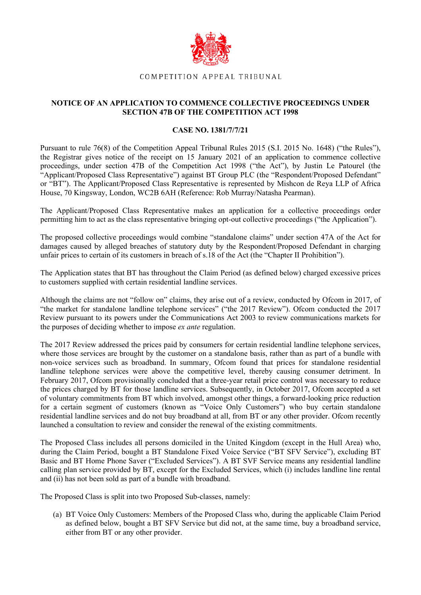

## COMPETITION APPEAL TRIBUNAL

## **NOTICE OF AN APPLICATION TO COMMENCE COLLECTIVE PROCEEDINGS UNDER SECTION 47B OF THE COMPETITION ACT 1998**

## **CASE NO. 1381/7/7/21**

Pursuant to rule 76(8) of the Competition Appeal Tribunal Rules 2015 (S.I. 2015 No. 1648) ("the Rules"), the Registrar gives notice of the receipt on 15 January 2021 of an application to commence collective proceedings, under section 47B of the Competition Act 1998 ("the Act"), by Justin Le Patourel (the "Applicant/Proposed Class Representative") against BT Group PLC (the "Respondent/Proposed Defendant" or "BT"). The Applicant/Proposed Class Representative is represented by Mishcon de Reya LLP of Africa House, 70 Kingsway, London, WC2B 6AH (Reference: Rob Murray/Natasha Pearman).

The Applicant/Proposed Class Representative makes an application for a collective proceedings order permitting him to act as the class representative bringing opt-out collective proceedings ("the Application").

The proposed collective proceedings would combine "standalone claims" under section 47A of the Act for damages caused by alleged breaches of statutory duty by the Respondent/Proposed Defendant in charging unfair prices to certain of its customers in breach of s.18 of the Act (the "Chapter II Prohibition").

The Application states that BT has throughout the Claim Period (as defined below) charged excessive prices to customers supplied with certain residential landline services.

Although the claims are not "follow on" claims, they arise out of a review, conducted by Ofcom in 2017, of "the market for standalone landline telephone services" ("the 2017 Review"). Ofcom conducted the 2017 Review pursuant to its powers under the Communications Act 2003 to review communications markets for the purposes of deciding whether to impose *ex ante* regulation.

The 2017 Review addressed the prices paid by consumers for certain residential landline telephone services, where those services are brought by the customer on a standalone basis, rather than as part of a bundle with non-voice services such as broadband. In summary, Ofcom found that prices for standalone residential landline telephone services were above the competitive level, thereby causing consumer detriment. In February 2017, Ofcom provisionally concluded that a three-year retail price control was necessary to reduce the prices charged by BT for those landline services. Subsequently, in October 2017, Ofcom accepted a set of voluntary commitments from BT which involved, amongst other things, a forward-looking price reduction for a certain segment of customers (known as "Voice Only Customers") who buy certain standalone residential landline services and do not buy broadband at all, from BT or any other provider. Ofcom recently launched a consultation to review and consider the renewal of the existing commitments.

The Proposed Class includes all persons domiciled in the United Kingdom (except in the Hull Area) who, during the Claim Period, bought a BT Standalone Fixed Voice Service ("BT SFV Service"), excluding BT Basic and BT Home Phone Saver ("Excluded Services"). A BT SVF Service means any residential landline calling plan service provided by BT, except for the Excluded Services, which (i) includes landline line rental and (ii) has not been sold as part of a bundle with broadband.

The Proposed Class is split into two Proposed Sub-classes, namely:

(a) BT Voice Only Customers: Members of the Proposed Class who, during the applicable Claim Period as defined below, bought a BT SFV Service but did not, at the same time, buy a broadband service, either from BT or any other provider.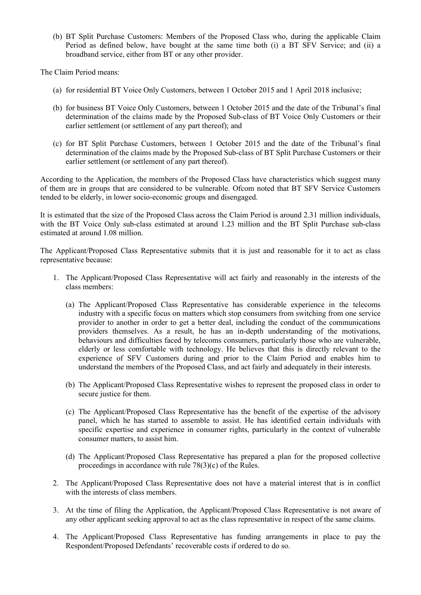(b) BT Split Purchase Customers: Members of the Proposed Class who, during the applicable Claim Period as defined below, have bought at the same time both (i) a BT SFV Service; and (ii) a broadband service, either from BT or any other provider.

The Claim Period means:

- (a) for residential BT Voice Only Customers, between 1 October 2015 and 1 April 2018 inclusive;
- (b) for business BT Voice Only Customers, between 1 October 2015 and the date of the Tribunal's final determination of the claims made by the Proposed Sub-class of BT Voice Only Customers or their earlier settlement (or settlement of any part thereof); and
- (c) for BT Split Purchase Customers, between 1 October 2015 and the date of the Tribunal's final determination of the claims made by the Proposed Sub-class of BT Split Purchase Customers or their earlier settlement (or settlement of any part thereof).

According to the Application, the members of the Proposed Class have characteristics which suggest many of them are in groups that are considered to be vulnerable. Ofcom noted that BT SFV Service Customers tended to be elderly, in lower socio-economic groups and disengaged.

It is estimated that the size of the Proposed Class across the Claim Period is around 2.31 million individuals, with the BT Voice Only sub-class estimated at around 1.23 million and the BT Split Purchase sub-class estimated at around 1.08 million.

The Applicant/Proposed Class Representative submits that it is just and reasonable for it to act as class representative because:

- 1. The Applicant/Proposed Class Representative will act fairly and reasonably in the interests of the class members:
	- (a) The Applicant/Proposed Class Representative has considerable experience in the telecoms industry with a specific focus on matters which stop consumers from switching from one service provider to another in order to get a better deal, including the conduct of the communications providers themselves. As a result, he has an in-depth understanding of the motivations, behaviours and difficulties faced by telecoms consumers, particularly those who are vulnerable, elderly or less comfortable with technology. He believes that this is directly relevant to the experience of SFV Customers during and prior to the Claim Period and enables him to understand the members of the Proposed Class, and act fairly and adequately in their interests.
	- (b) The Applicant/Proposed Class Representative wishes to represent the proposed class in order to secure justice for them.
	- (c) The Applicant/Proposed Class Representative has the benefit of the expertise of the advisory panel, which he has started to assemble to assist. He has identified certain individuals with specific expertise and experience in consumer rights, particularly in the context of vulnerable consumer matters, to assist him.
	- (d) The Applicant/Proposed Class Representative has prepared a plan for the proposed collective proceedings in accordance with rule 78(3)(c) of the Rules.
- 2. The Applicant/Proposed Class Representative does not have a material interest that is in conflict with the interests of class members.
- 3. At the time of filing the Application, the Applicant/Proposed Class Representative is not aware of any other applicant seeking approval to act as the class representative in respect of the same claims.
- 4. The Applicant/Proposed Class Representative has funding arrangements in place to pay the Respondent/Proposed Defendants' recoverable costs if ordered to do so.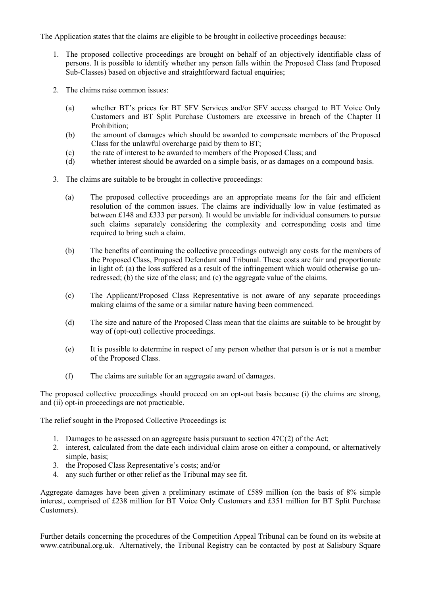The Application states that the claims are eligible to be brought in collective proceedings because:

- 1. The proposed collective proceedings are brought on behalf of an objectively identifiable class of persons. It is possible to identify whether any person falls within the Proposed Class (and Proposed Sub-Classes) based on objective and straightforward factual enquiries;
- 2. The claims raise common issues:
	- (a) whether BT's prices for BT SFV Services and/or SFV access charged to BT Voice Only Customers and BT Split Purchase Customers are excessive in breach of the Chapter II Prohibition;
	- (b) the amount of damages which should be awarded to compensate members of the Proposed Class for the unlawful overcharge paid by them to BT;
	- (c) the rate of interest to be awarded to members of the Proposed Class; and
	- (d) whether interest should be awarded on a simple basis, or as damages on a compound basis.
- 3. The claims are suitable to be brought in collective proceedings:
	- (a) The proposed collective proceedings are an appropriate means for the fair and efficient resolution of the common issues. The claims are individually low in value (estimated as between £148 and £333 per person). It would be unviable for individual consumers to pursue such claims separately considering the complexity and corresponding costs and time required to bring such a claim.
	- (b) The benefits of continuing the collective proceedings outweigh any costs for the members of the Proposed Class, Proposed Defendant and Tribunal. These costs are fair and proportionate in light of: (a) the loss suffered as a result of the infringement which would otherwise go unredressed; (b) the size of the class; and (c) the aggregate value of the claims.
	- (c) The Applicant/Proposed Class Representative is not aware of any separate proceedings making claims of the same or a similar nature having been commenced.
	- (d) The size and nature of the Proposed Class mean that the claims are suitable to be brought by way of (opt-out) collective proceedings.
	- (e) It is possible to determine in respect of any person whether that person is or is not a member of the Proposed Class.
	- (f) The claims are suitable for an aggregate award of damages.

The proposed collective proceedings should proceed on an opt-out basis because (i) the claims are strong, and (ii) opt-in proceedings are not practicable.

The relief sought in the Proposed Collective Proceedings is:

- 1. Damages to be assessed on an aggregate basis pursuant to section 47C(2) of the Act;
- 2. interest, calculated from the date each individual claim arose on either a compound, or alternatively simple, basis;
- 3. the Proposed Class Representative's costs; and/or
- 4. any such further or other relief as the Tribunal may see fit.

Aggregate damages have been given a preliminary estimate of £589 million (on the basis of 8% simple interest, comprised of £238 million for BT Voice Only Customers and £351 million for BT Split Purchase Customers).

Further details concerning the procedures of the Competition Appeal Tribunal can be found on its website at www.catribunal.org.uk. Alternatively, the Tribunal Registry can be contacted by post at Salisbury Square